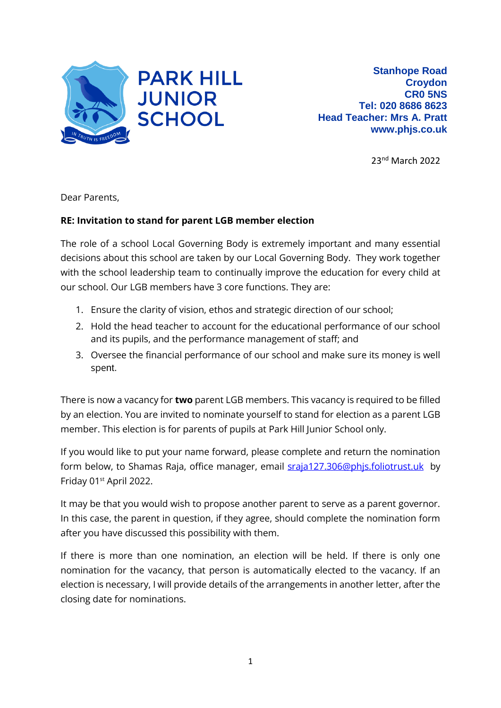

23nd March 2022

Dear Parents,

## **RE: Invitation to stand for parent LGB member election**

The role of a school Local Governing Body is extremely important and many essential decisions about this school are taken by our Local Governing Body. They work together with the school leadership team to continually improve the education for every child at our school. Our LGB members have 3 core functions. They are:

- 1. Ensure the clarity of vision, ethos and strategic direction of our school;
- 2. Hold the head teacher to account for the educational performance of our school and its pupils, and the performance management of staff; and
- 3. Oversee the financial performance of our school and make sure its money is well spent.

There is now a vacancy for **two** parent LGB members. This vacancy is required to be filled by an election. You are invited to nominate yourself to stand for election as a parent LGB member. This election is for parents of pupils at Park Hill Junior School only.

If you would like to put your name forward, please complete and return the nomination form below, to Shamas Raja, office manager, email [sraja127.306@phjs.foliotrust.uk](mailto:sraja127.306@phjs.foliotrust.uk) by Friday 01st April 2022.

It may be that you would wish to propose another parent to serve as a parent governor. In this case, the parent in question, if they agree, should complete the nomination form after you have discussed this possibility with them.

If there is more than one nomination, an election will be held. If there is only one nomination for the vacancy, that person is automatically elected to the vacancy. If an election is necessary, I will provide details of the arrangements in another letter, after the closing date for nominations.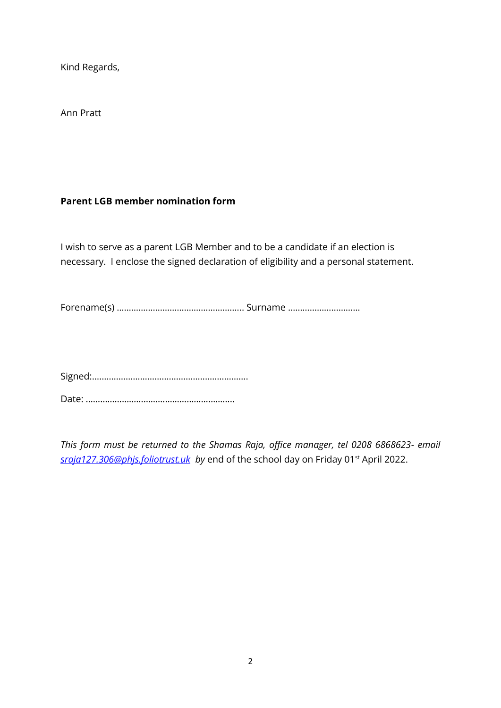Kind Regards,

Ann Pratt

## **Parent LGB member nomination form**

I wish to serve as a parent LGB Member and to be a candidate if an election is necessary. I enclose the signed declaration of eligibility and a personal statement.

Forename(s) …………………………………………….. Surname …………………………

Signed:…..……………………………………..…………….

Date: ……………………………………………………..

*This form must be returned to the Shamas Raja, office manager, tel 0208 6868623- email [sraja127.306@phjs.foliotrust.uk](mailto:sraja127.306@phjs.foliotrust.uk) by* end of the school day on Friday 01st April 2022.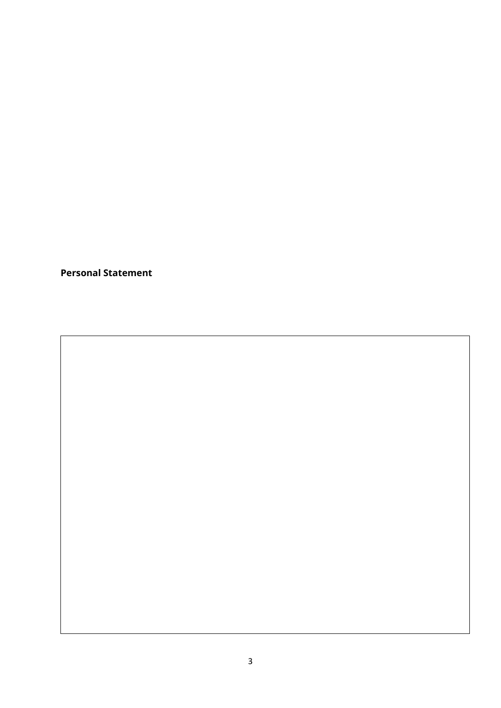**Personal Statement**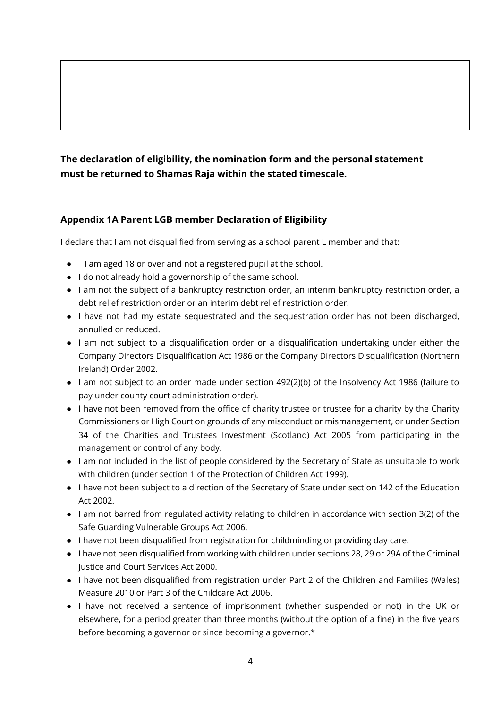## **The declaration of eligibility, the nomination form and the personal statement must be returned to Shamas Raja within the stated timescale.**

## **Appendix 1A Parent LGB member Declaration of Eligibility**

I declare that I am not disqualified from serving as a school parent L member and that:

- I am aged 18 or over and not a registered pupil at the school.
- I do not already hold a governorship of the same school.
- I am not the subject of a bankruptcy restriction order, an interim bankruptcy restriction order, a debt relief restriction order or an interim debt relief restriction order.
- I have not had my estate sequestrated and the sequestration order has not been discharged, annulled or reduced.
- I am not subject to a disqualification order or a disqualification undertaking under either the Company Directors Disqualification Act 1986 or the Company Directors Disqualification (Northern Ireland) Order 2002.
- I am not subject to an order made under section 492(2)(b) of the Insolvency Act 1986 (failure to pay under county court administration order).
- I have not been removed from the office of charity trustee or trustee for a charity by the Charity Commissioners or High Court on grounds of any misconduct or mismanagement, or under Section 34 of the Charities and Trustees Investment (Scotland) Act 2005 from participating in the management or control of any body.
- I am not included in the list of people considered by the Secretary of State as unsuitable to work with children (under section 1 of the Protection of Children Act 1999).
- I have not been subject to a direction of the Secretary of State under section 142 of the Education Act 2002.
- I am not barred from regulated activity relating to children in accordance with section 3(2) of the Safe Guarding Vulnerable Groups Act 2006.
- I have not been disqualified from registration for childminding or providing day care.
- I have not been disqualified from working with children under sections 28, 29 or 29A of the Criminal Justice and Court Services Act 2000.
- I have not been disqualified from registration under Part 2 of the Children and Families (Wales) Measure 2010 or Part 3 of the Childcare Act 2006.
- I have not received a sentence of imprisonment (whether suspended or not) in the UK or elsewhere, for a period greater than three months (without the option of a fine) in the five years before becoming a governor or since becoming a governor.\*